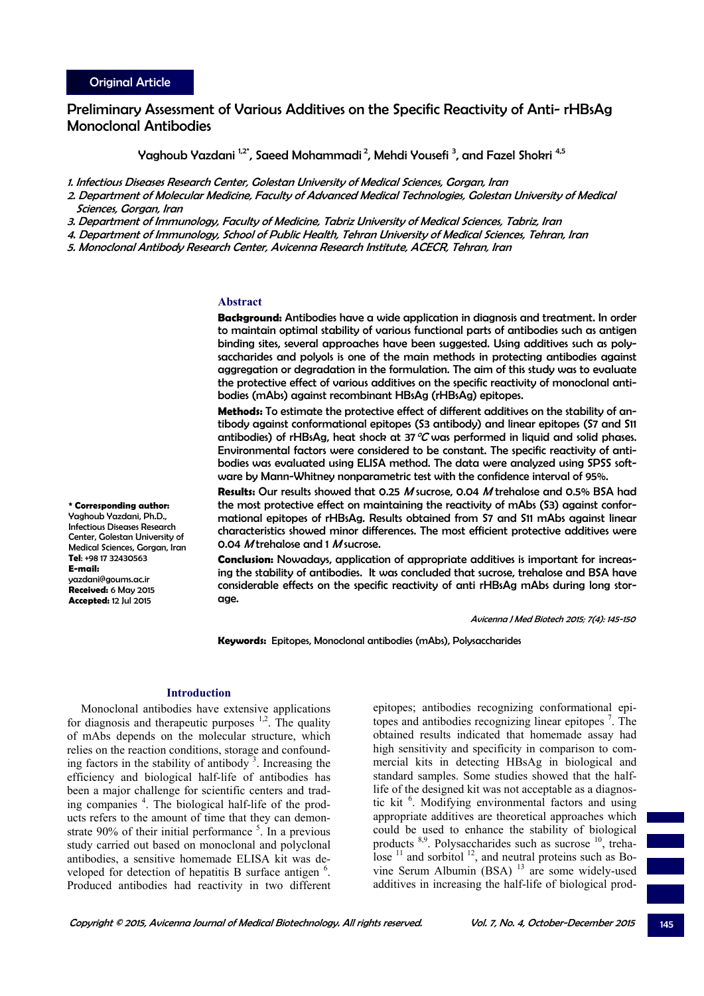# Preliminary Assessment of Various Additives on the Specific Reactivity of Anti- rHBsAg Monoclonal Antibodies

Yaghoub Yazdani <sup>1,2\*</sup>, Saeed Mohammadi <sup>2</sup>, Mehdi Yousefi <sup>3</sup>, and Fazel Shokri <sup>4,5</sup>

1. Infectious Diseases Research Center, Golestan University of Medical Sciences, Gorgan, Iran

2. Department of Molecular Medicine, Faculty of Advanced Medical Technologies, Golestan University of Medical Sciences, Gorgan, Iran

3. Department of Immunology, Faculty of Medicine, Tabriz University of Medical Sciences, Tabriz, Iran

4. Department of Immunology, School of Public Health, Tehran University of Medical Sciences, Tehran, Iran

5. Monoclonal Antibody Research Center, Avicenna Research Institute, ACECR, Tehran, Iran

### **Abstract**

**Background:** Antibodies have a wide application in diagnosis and treatment. In order to maintain optimal stability of various functional parts of antibodies such as antigen binding sites, several approaches have been suggested. Using additives such as polysaccharides and polyols is one of the main methods in protecting antibodies against aggregation or degradation in the formulation. The aim of this study was to evaluate the protective effect of various additives on the specific reactivity of monoclonal antibodies (mAbs) against recombinant HBsAg (rHBsAg) epitopes.

**Methods:** To estimate the protective effect of different additives on the stability of antibody against conformational epitopes (S3 antibody) and linear epitopes (S7 and S11 antibodies) of rHBsAg, heat shock at 37  $\mathcal{C}$  was performed in liquid and solid phases. Environmental factors were considered to be constant. The specific reactivity of antibodies was evaluated using ELISA method. The data were analyzed using SPSS software by Mann-Whitney nonparametric test with the confidence interval of 95%.

**Results:** Our results showed that 0.25 M sucrose, 0.04 M trehalose and 0.5% BSA had the most protective effect on maintaining the reactivity of mAbs (S3) against conformational epitopes of rHBsAg. Results obtained from S7 and S11 mAbs against linear characteristics showed minor differences. The most efficient protective additives were 0.04 M trehalose and 1 M sucrose.

**Conclusion:** Nowadays, application of appropriate additives is important for increasing the stability of antibodies. It was concluded that sucrose, trehalose and BSA have considerable effects on the specific reactivity of anti rHBsAg mAbs during long storage.

Avicenna J Med Biotech 2015; 7(4): 145-150

**Keywords:** Epitopes, Monoclonal antibodies (mAbs), Polysaccharides

### **Introduction**

Monoclonal antibodies have extensive applications for diagnosis and therapeutic purposes  $1,2$ . The quality of mAbs depends on the molecular structure, which relies on the reaction conditions, storage and confounding factors in the stability of antibody $3$ . Increasing the efficiency and biological half-life of antibodies has been a major challenge for scientific centers and trading companies <sup>4</sup>. The biological half-life of the products refers to the amount of time that they can demonstrate  $90\%$  of their initial performance  $5$ . In a previous study carried out based on monoclonal and polyclonal antibodies, a sensitive homemade ELISA kit was developed for detection of hepatitis B surface antigen <sup>6</sup>. Produced antibodies had reactivity in two different epitopes; antibodies recognizing conformational epitopes and antibodies recognizing linear epitopes <sup>7</sup> . The obtained results indicated that homemade assay had high sensitivity and specificity in comparison to commercial kits in detecting HBsAg in biological and standard samples. Some studies showed that the halflife of the designed kit was not acceptable as a diagnostic kit <sup>6</sup>. Modifying environmental factors and using appropriate additives are theoretical approaches which could be used to enhance the stability of biological products <sup>8,9</sup>. Polysaccharides such as sucrose <sup>10</sup>, trehalose  $^{11}$  and sorbitol  $^{12}$ , and neutral proteins such as Bovine Serum Albumin (BSA)  $^{13}$  are some widely-used additives in increasing the half-life of biological prod-

Infectious Diseases Research Center, Golestan University of Medical Sciences, Gorgan, Iran **Tel**: +98 17 32430563 **E-mail:** yazdani@goums.ac.ir **Received:** 6 May 2015 **Accepted:** 12 Jul 2015

**\* Corresponding author:**  Yaghoub Yazdani, Ph.D.,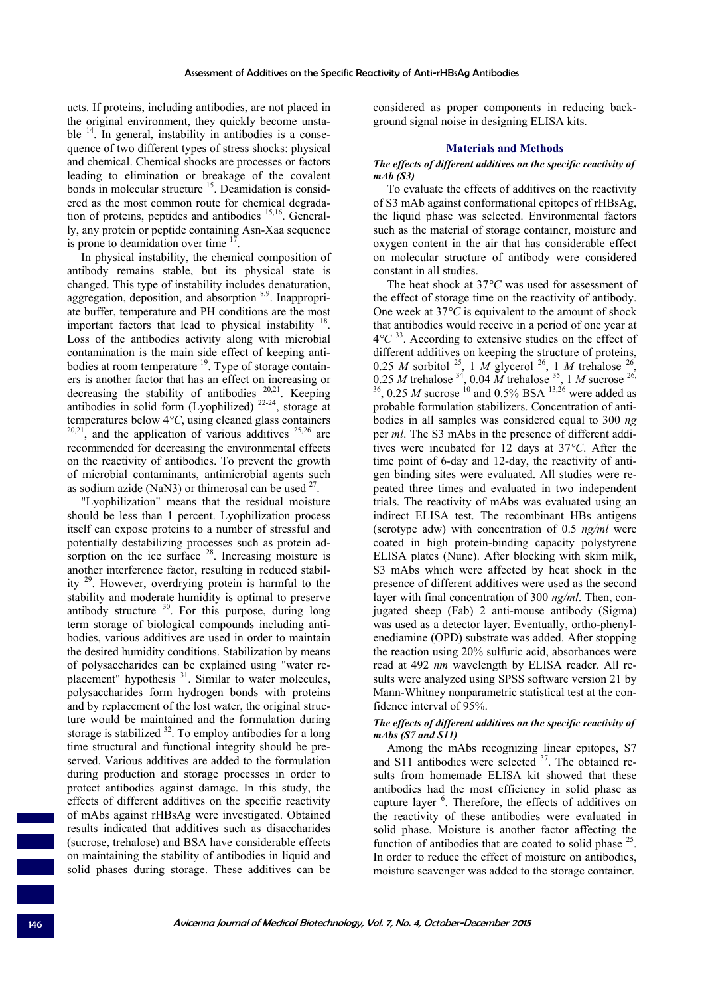ucts. If proteins, including antibodies, are not placed in the original environment, they quickly become unstable  $14$ . In general, instability in antibodies is a consequence of two different types of stress shocks: physical and chemical. Chemical shocks are processes or factors leading to elimination or breakage of the covalent bonds in molecular structure <sup>15</sup>. Deamidation is considered as the most common route for chemical degradation of proteins, peptides and antibodies 15,16. Generally, any protein or peptide containing Asn-Xaa sequence is prone to deamidation over time  $1$ 

In physical instability, the chemical composition of antibody remains stable, but its physical state is changed. This type of instability includes denaturation, aggregation, deposition, and absorption 8,9. Inappropriate buffer, temperature and PH conditions are the most important factors that lead to physical instability  $18$ Loss of the antibodies activity along with microbial contamination is the main side effect of keeping antibodies at room temperature <sup>19</sup>. Type of storage containers is another factor that has an effect on increasing or decreasing the stability of antibodies  $20,21$ . Keeping antibodies in solid form (Lyophilized)  $22-24$ , storage at temperatures below 4*°C*, using cleaned glass containers  $20,21$ , and the application of various additives  $25,26$  are recommended for decreasing the environmental effects on the reactivity of antibodies. To prevent the growth of microbial contaminants, antimicrobial agents such as sodium azide (NaN3) or thimerosal can be used  $27$ .

"Lyophilization" means that the residual moisture should be less than 1 percent. Lyophilization process itself can expose proteins to a number of stressful and potentially destabilizing processes such as protein adsorption on the ice surface  $28$ . Increasing moisture is another interference factor, resulting in reduced stability 29. However, overdrying protein is harmful to the stability and moderate humidity is optimal to preserve antibody structure <sup>30</sup>. For this purpose, during long term storage of biological compounds including antibodies, various additives are used in order to maintain the desired humidity conditions. Stabilization by means of polysaccharides can be explained using "water replacement" hypothesis <sup>31</sup>. Similar to water molecules, polysaccharides form hydrogen bonds with proteins and by replacement of the lost water, the original structure would be maintained and the formulation during storage is stabilized  $32$ . To employ antibodies for a long time structural and functional integrity should be preserved. Various additives are added to the formulation during production and storage processes in order to protect antibodies against damage. In this study, the effects of different additives on the specific reactivity of mAbs against rHBsAg were investigated. Obtained results indicated that additives such as disaccharides (sucrose, trehalose) and BSA have considerable effects on maintaining the stability of antibodies in liquid and solid phases during storage. These additives can be

considered as proper components in reducing background signal noise in designing ELISA kits.

### **Materials and Methods**

### *The effects of different additives on the specific reactivity of mAb (S3)*

To evaluate the effects of additives on the reactivity of S3 mAb against conformational epitopes of rHBsAg, the liquid phase was selected. Environmental factors such as the material of storage container, moisture and oxygen content in the air that has considerable effect on molecular structure of antibody were considered constant in all studies.

The heat shock at 37*°C* was used for assessment of the effect of storage time on the reactivity of antibody. One week at 37*°C* is equivalent to the amount of shock that antibodies would receive in a period of one year at 4*°C* 33. According to extensive studies on the effect of different additives on keeping the structure of proteins, 0.25 *M* sorbitol <sup>25</sup>, 1 *M* glycerol <sup>26</sup>, 1 *M* trehalose <sup>26</sup>, 0.25 *M* trehalose  $34$ , 0.04 *M* trehalose  $35$ , 1 *M* sucrose  $26$ ,  $^{36}$ , 0.25 *M* sucrose <sup>10</sup> and 0.5% BSA  $^{13,26}$  were added as probable formulation stabilizers. Concentration of antibodies in all samples was considered equal to 300 *ng* per *ml*. The S3 mAbs in the presence of different additives were incubated for 12 days at 37*°C*. After the time point of 6-day and 12-day, the reactivity of antigen binding sites were evaluated. All studies were repeated three times and evaluated in two independent trials. The reactivity of mAbs was evaluated using an indirect ELISA test. The recombinant HBs antigens (serotype adw) with concentration of 0.5 *ng/ml* were coated in high protein-binding capacity polystyrene ELISA plates (Nunc). After blocking with skim milk, S3 mAbs which were affected by heat shock in the presence of different additives were used as the second layer with final concentration of 300 *ng/ml*. Then, conjugated sheep (Fab) 2 anti-mouse antibody (Sigma) was used as a detector layer. Eventually, ortho-phenylenediamine (OPD) substrate was added. After stopping the reaction using 20% sulfuric acid, absorbances were read at 492 *nm* wavelength by ELISA reader. All results were analyzed using SPSS software version 21 by Mann-Whitney nonparametric statistical test at the confidence interval of 95%.

# *The effects of different additives on the specific reactivity of mAbs (S7 and S11)*

Among the mAbs recognizing linear epitopes, S7 and S11 antibodies were selected  $37$ . The obtained results from homemade ELISA kit showed that these antibodies had the most efficiency in solid phase as capture layer <sup>6</sup>. Therefore, the effects of additives on the reactivity of these antibodies were evaluated in solid phase. Moisture is another factor affecting the function of antibodies that are coated to solid phase  $25$ . In order to reduce the effect of moisture on antibodies, moisture scavenger was added to the storage container.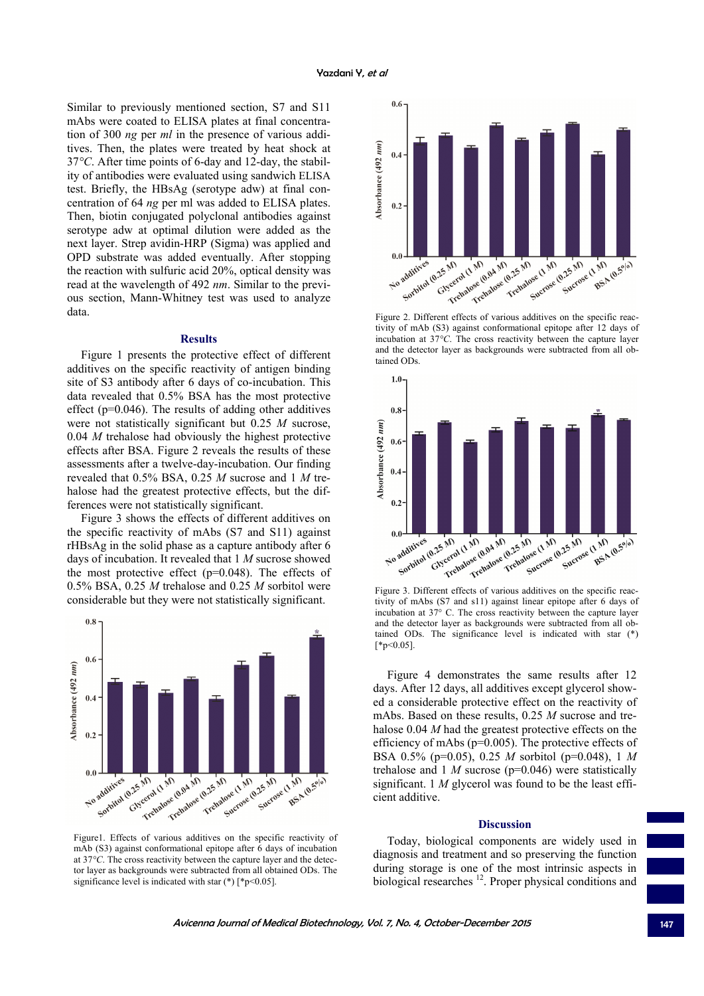Similar to previously mentioned section, S7 and S11 mAbs were coated to ELISA plates at final concentration of 300 *ng* per *ml* in the presence of various additives. Then, the plates were treated by heat shock at 37*°C*. After time points of 6-day and 12-day, the stability of antibodies were evaluated using sandwich ELISA test. Briefly, the HBsAg (serotype adw) at final concentration of 64 *ng* per ml was added to ELISA plates. Then, biotin conjugated polyclonal antibodies against serotype adw at optimal dilution were added as the next layer. Strep avidin-HRP (Sigma) was applied and OPD substrate was added eventually. After stopping the reaction with sulfuric acid 20%, optical density was read at the wavelength of 492 *nm*. Similar to the previous section, Mann-Whitney test was used to analyze data.

# **Results**

Figure 1 presents the protective effect of different additives on the specific reactivity of antigen binding site of S3 antibody after 6 days of co-incubation. This data revealed that 0.5% BSA has the most protective effect ( $p=0.046$ ). The results of adding other additives were not statistically significant but 0.25 *M* sucrose, 0.04 *M* trehalose had obviously the highest protective effects after BSA. Figure 2 reveals the results of these assessments after a twelve-day-incubation. Our finding revealed that 0.5% BSA, 0.25 *M* sucrose and 1 *M* trehalose had the greatest protective effects, but the differences were not statistically significant.

Figure 3 shows the effects of different additives on the specific reactivity of mAbs (S7 and S11) against rHBsAg in the solid phase as a capture antibody after 6 days of incubation. It revealed that 1 *M* sucrose showed the most protective effect  $(p=0.048)$ . The effects of 0.5% BSA, 0.25 *M* trehalose and 0.25 *M* sorbitol were considerable but they were not statistically significant.



Figure1. Effects of various additives on the specific reactivity of mAb (S3) against conformational epitope after 6 days of incubation at 37*°C*. The cross reactivity between the capture layer and the detector layer as backgrounds were subtracted from all obtained ODs. The significance level is indicated with star  $(*)$  [\*p<0.05].



tivity of mAb (S3) against conformational epitope after 12 days of incubation at 37*°C*. The cross reactivity between the capture layer and the detector layer as backgrounds were subtracted from all obtained ODs.



tivity of mAbs (S7 and s11) against linear epitope after 6 days of incubation at 37° C. The cross reactivity between the capture layer and the detector layer as backgrounds were subtracted from all obtained ODs. The significance level is indicated with star (\*)  $[*p<0.05]$ 

Figure 4 demonstrates the same results after 12 days. After 12 days, all additives except glycerol showed a considerable protective effect on the reactivity of mAbs. Based on these results, 0.25 *M* sucrose and trehalose 0.04 *M* had the greatest protective effects on the efficiency of mAbs (p=0.005). The protective effects of BSA 0.5% (p=0.05), 0.25 *M* sorbitol (p=0.048), 1 *M* trehalose and 1 *M* sucrose (p=0.046) were statistically significant. 1 *M* glycerol was found to be the least efficient additive.

#### **Discussion**

Today, biological components are widely used in diagnosis and treatment and so preserving the function during storage is one of the most intrinsic aspects in biological researches <sup>12</sup>. Proper physical conditions and

Avicenna Journal of Medical Biotechnology, Vol. 7, No. 4, October-December 2015 147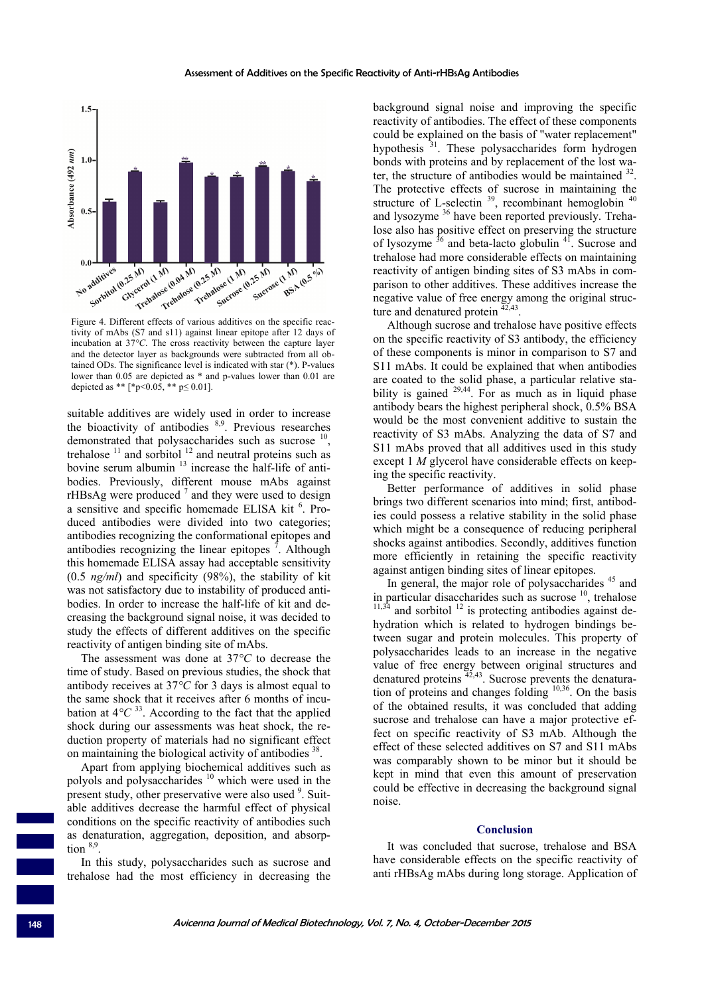

tivity of mAbs (S7 and s11) against linear epitope after 12 days of incubation at 37*°C*. The cross reactivity between the capture layer and the detector layer as backgrounds were subtracted from all obtained ODs. The significance level is indicated with star (\*). P-values lower than 0.05 are depicted as \* and p-values lower than 0.01 are depicted as \*\* [\*p<0.05, \*\* p $\leq$  0.01].

suitable additives are widely used in order to increase the bioactivity of antibodies  $8,9$ . Previous researches demonstrated that polysaccharides such as sucrose <sup>10</sup> trehalose  $11$  and sorbitol  $12$  and neutral proteins such as bovine serum albumin  $13$  increase the half-life of antibodies. Previously, different mouse mAbs against rHBsAg were produced  $<sup>7</sup>$  and they were used to design</sup> a sensitive and specific homemade ELISA kit <sup>6</sup>. Produced antibodies were divided into two categories; antibodies recognizing the conformational epitopes and antibodies recognizing the linear epitopes  $\bar{7}$ . Although this homemade ELISA assay had acceptable sensitivity (0.5 *ng/ml*) and specificity (98%), the stability of kit was not satisfactory due to instability of produced antibodies. In order to increase the half-life of kit and decreasing the background signal noise, it was decided to study the effects of different additives on the specific reactivity of antigen binding site of mAbs.

The assessment was done at 37*°C* to decrease the time of study. Based on previous studies, the shock that antibody receives at 37*°C* for 3 days is almost equal to the same shock that it receives after 6 months of incubation at  $4^{\circ}C^{33}$ . According to the fact that the applied shock during our assessments was heat shock, the reduction property of materials had no significant effect on maintaining the biological activity of antibodies <sup>38</sup>.

Apart from applying biochemical additives such as polyols and polysaccharides <sup>10</sup> which were used in the present study, other preservative were also used <sup>9</sup>. Suitable additives decrease the harmful effect of physical conditions on the specific reactivity of antibodies such as denaturation, aggregation, deposition, and absorption  $8,9$ 

In this study, polysaccharides such as sucrose and trehalose had the most efficiency in decreasing the background signal noise and improving the specific reactivity of antibodies. The effect of these components could be explained on the basis of "water replacement" hypothesis<sup>31</sup>. These polysaccharides form hydrogen bonds with proteins and by replacement of the lost water, the structure of antibodies would be maintained  $32$ . The protective effects of sucrose in maintaining the structure of L-selectin  $39$ , recombinant hemoglobin  $40$ and lysozyme <sup>36</sup> have been reported previously. Trehalose also has positive effect on preserving the structure of lysozyme  $36$  and beta-lacto globulin  $41$ . Sucrose and trehalose had more considerable effects on maintaining reactivity of antigen binding sites of S3 mAbs in comparison to other additives. These additives increase the negative value of free energy among the original structure and denatured protein  $\frac{42,43}{42,43}$ .

Although sucrose and trehalose have positive effects on the specific reactivity of S3 antibody, the efficiency of these components is minor in comparison to S7 and S11 mAbs. It could be explained that when antibodies are coated to the solid phase, a particular relative stability is gained  $29,44$ . For as much as in liquid phase antibody bears the highest peripheral shock, 0.5% BSA would be the most convenient additive to sustain the reactivity of S3 mAbs. Analyzing the data of S7 and S11 mAbs proved that all additives used in this study except 1 *M* glycerol have considerable effects on keeping the specific reactivity.

Better performance of additives in solid phase brings two different scenarios into mind; first, antibodies could possess a relative stability in the solid phase which might be a consequence of reducing peripheral shocks against antibodies. Secondly, additives function more efficiently in retaining the specific reactivity against antigen binding sites of linear epitopes.

In general, the major role of polysaccharides<sup>45</sup> and in particular disaccharides such as sucrose  $^{10}$ , trehalose and sorbitol  $12$  is protecting antibodies against dehydration which is related to hydrogen bindings between sugar and protein molecules. This property of polysaccharides leads to an increase in the negative value of free energy between original structures and denatured proteins  $\frac{45,43}{42,43}$ . Sucrose prevents the denaturation of proteins and changes folding  $10,36$ . On the basis of the obtained results, it was concluded that adding sucrose and trehalose can have a major protective effect on specific reactivity of S3 mAb. Although the effect of these selected additives on S7 and S11 mAbs was comparably shown to be minor but it should be kept in mind that even this amount of preservation could be effective in decreasing the background signal noise.

#### **Conclusion**

It was concluded that sucrose, trehalose and BSA have considerable effects on the specific reactivity of anti rHBsAg mAbs during long storage. Application of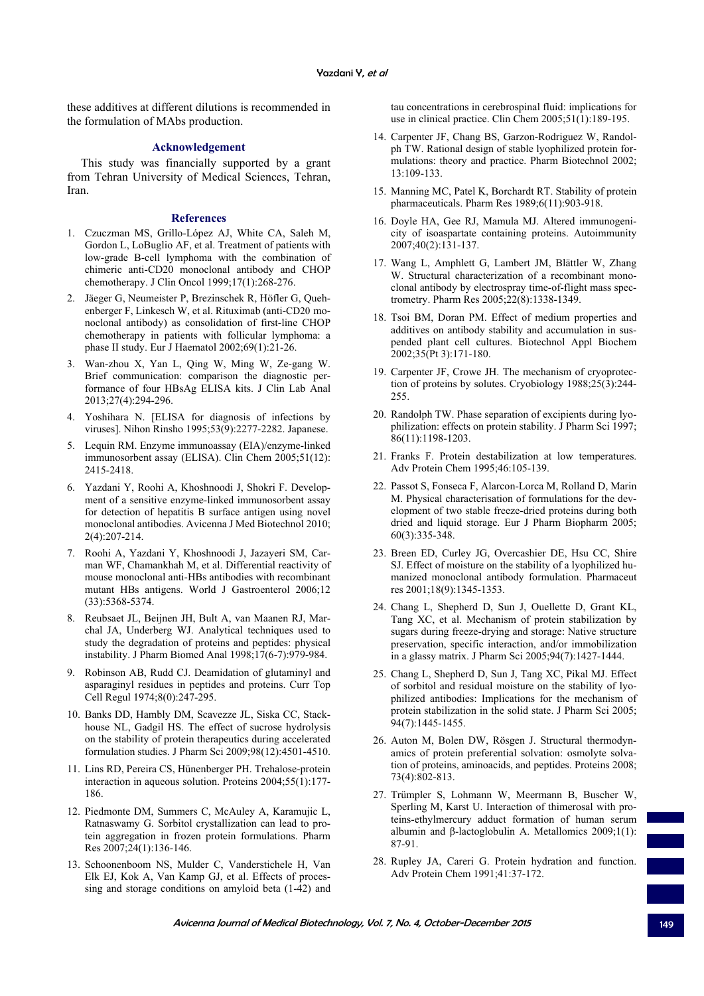these additives at different dilutions is recommended in the formulation of MAbs production.

# **Acknowledgement**

This study was financially supported by a grant from Tehran University of Medical Sciences, Tehran, Iran.

#### **References**

- 1. Czuczman MS, Grillo-López AJ, White CA, Saleh M, Gordon L, LoBuglio AF, et al. Treatment of patients with low-grade B-cell lymphoma with the combination of chimeric anti-CD20 monoclonal antibody and CHOP chemotherapy. J Clin Oncol 1999;17(1):268-276.
- 2. Jäeger G, Neumeister P, Brezinschek R, Höfler G, Quehenberger F, Linkesch W, et al. Rituximab (anti-CD20 monoclonal antibody) as consolidation of first-line CHOP chemotherapy in patients with follicular lymphoma: a phase II study. Eur J Haematol 2002;69(1):21-26.
- 3. Wan-zhou X, Yan L, Qing W, Ming W, Ze-gang W. Brief communication: comparison the diagnostic performance of four HBsAg ELISA kits. J Clin Lab Anal 2013;27(4):294-296.
- 4. Yoshihara N. [ELISA for diagnosis of infections by viruses]. Nihon Rinsho 1995;53(9):2277-2282. Japanese.
- 5. Lequin RM. Enzyme immunoassay (EIA)/enzyme-linked immunosorbent assay (ELISA). Clin Chem 2005;51(12): 2415-2418.
- 6. Yazdani Y, Roohi A, Khoshnoodi J, Shokri F. Development of a sensitive enzyme-linked immunosorbent assay for detection of hepatitis B surface antigen using novel monoclonal antibodies. Avicenna J Med Biotechnol 2010; 2(4):207-214.
- 7. Roohi A, Yazdani Y, Khoshnoodi J, Jazayeri SM, Carman WF, Chamankhah M, et al. Differential reactivity of mouse monoclonal anti-HBs antibodies with recombinant mutant HBs antigens. World J Gastroenterol 2006;12 (33):5368-5374.
- 8. Reubsaet JL, Beijnen JH, Bult A, van Maanen RJ, Marchal JA, Underberg WJ. Analytical techniques used to study the degradation of proteins and peptides: physical instability. J Pharm Biomed Anal 1998;17(6-7):979-984.
- 9. Robinson AB, Rudd CJ. Deamidation of glutaminyl and asparaginyl residues in peptides and proteins. Curr Top Cell Regul 1974;8(0):247-295.
- 10. Banks DD, Hambly DM, Scavezze JL, Siska CC, Stackhouse NL, Gadgil HS. The effect of sucrose hydrolysis on the stability of protein therapeutics during accelerated formulation studies. J Pharm Sci 2009;98(12):4501-4510.
- 11. Lins RD, Pereira CS, Hünenberger PH. Trehalose-protein interaction in aqueous solution. Proteins 2004;55(1):177- 186.
- 12. Piedmonte DM, Summers C, McAuley A, Karamujic L, Ratnaswamy G. Sorbitol crystallization can lead to protein aggregation in frozen protein formulations. Pharm Res 2007;24(1):136-146.
- 13. Schoonenboom NS, Mulder C, Vanderstichele H, Van Elk EJ, Kok A, Van Kamp GJ, et al. Effects of processing and storage conditions on amyloid beta (1-42) and

tau concentrations in cerebrospinal fluid: implications for use in clinical practice. Clin Chem 2005;51(1):189-195.

- 14. Carpenter JF, Chang BS, Garzon-Rodriguez W, Randolph TW. Rational design of stable lyophilized protein formulations: theory and practice. Pharm Biotechnol 2002; 13:109-133.
- 15. Manning MC, Patel K, Borchardt RT. Stability of protein pharmaceuticals. Pharm Res 1989;6(11):903-918.
- 16. Doyle HA, Gee RJ, Mamula MJ. Altered immunogenicity of isoaspartate containing proteins. Autoimmunity 2007;40(2):131-137.
- 17. Wang L, Amphlett G, Lambert JM, Blättler W, Zhang W. Structural characterization of a recombinant monoclonal antibody by electrospray time-of-flight mass spectrometry. Pharm Res 2005;22(8):1338-1349.
- 18. Tsoi BM, Doran PM. Effect of medium properties and additives on antibody stability and accumulation in suspended plant cell cultures. Biotechnol Appl Biochem 2002;35(Pt 3):171-180.
- 19. Carpenter JF, Crowe JH. The mechanism of cryoprotection of proteins by solutes. Cryobiology 1988;25(3):244- 255.
- 20. Randolph TW. Phase separation of excipients during lyophilization: effects on protein stability. J Pharm Sci 1997; 86(11):1198-1203.
- 21. Franks F. Protein destabilization at low temperatures. Adv Protein Chem 1995;46:105-139.
- 22. Passot S, Fonseca F, Alarcon-Lorca M, Rolland D, Marin M. Physical characterisation of formulations for the development of two stable freeze-dried proteins during both dried and liquid storage. Eur J Pharm Biopharm 2005; 60(3):335-348.
- 23. Breen ED, Curley JG, Overcashier DE, Hsu CC, Shire SJ. Effect of moisture on the stability of a lyophilized humanized monoclonal antibody formulation. Pharmaceut res 2001;18(9):1345-1353.
- 24. Chang L, Shepherd D, Sun J, Ouellette D, Grant KL, Tang XC, et al. Mechanism of protein stabilization by sugars during freeze-drying and storage: Native structure preservation, specific interaction, and/or immobilization in a glassy matrix. J Pharm Sci 2005;94(7):1427-1444.
- 25. Chang L, Shepherd D, Sun J, Tang XC, Pikal MJ. Effect of sorbitol and residual moisture on the stability of lyophilized antibodies: Implications for the mechanism of protein stabilization in the solid state. J Pharm Sci 2005; 94(7):1445-1455.
- 26. Auton M, Bolen DW, Rösgen J. Structural thermodynamics of protein preferential solvation: osmolyte solvation of proteins, aminoacids, and peptides. Proteins 2008; 73(4):802-813.
- 27. Trümpler S, Lohmann W, Meermann B, Buscher W, Sperling M, Karst U. Interaction of thimerosal with proteins-ethylmercury adduct formation of human serum albumin and β-lactoglobulin A. Metallomics  $2009;1(1)$ : 87-91.
- 28. Rupley JA, Careri G. Protein hydration and function. Adv Protein Chem 1991;41:37-172.

Avicenna Journal of Medical Biotechnology, Vol. 7, No. 4, October-December 2015 149